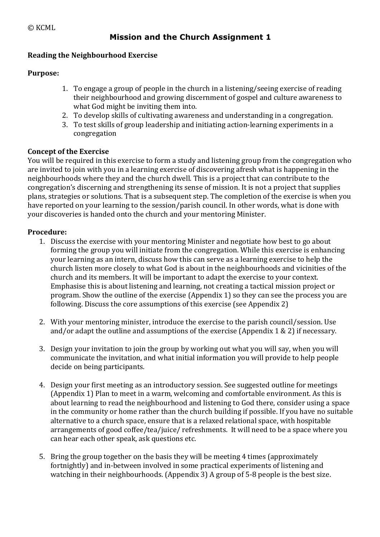# **Reading the Neighbourhood Exercise**

## **Purpose:**

- 1. To engage a group of people in the church in a listening/seeing exercise of reading their neighbourhood and growing discernment of gospel and culture awareness to what God might be inviting them into.
- 2. To develop skills of cultivating awareness and understanding in a congregation.
- 3. To test skills of group leadership and initiating action-learning experiments in a congregation

## **Concept of the Exercise**

You will be required in this exercise to form a study and listening group from the congregation who are invited to join with you in a learning exercise of discovering afresh what is happening in the neighbourhoods where they and the church dwell. This is a project that can contribute to the congregation's discerning and strengthening its sense of mission. It is not a project that supplies plans, strategies or solutions. That is a subsequent step. The completion of the exercise is when you have reported on your learning to the session/parish council. In other words, what is done with your discoveries is handed onto the church and your mentoring Minister.

## **Procedure:**

- 1. Discuss the exercise with your mentoring Minister and negotiate how best to go about forming the group you will initiate from the congregation. While this exercise is enhancing your learning as an intern, discuss how this can serve as a learning exercise to help the church listen more closely to what God is about in the neighbourhoods and vicinities of the church and its members. It will be important to adapt the exercise to your context. Emphasise this is about listening and learning, not creating a tactical mission project or program. Show the outline of the exercise (Appendix 1) so they can see the process you are following. Discuss the core assumptions of this exercise (see Appendix 2)
- 2. With your mentoring minister, introduce the exercise to the parish council/session. Use and/or adapt the outline and assumptions of the exercise (Appendix  $1 \& 2$ ) if necessary.
- 3. Design your invitation to join the group by working out what you will say, when you will communicate the invitation, and what initial information you will provide to help people decide on being participants.
- 4. Design your first meeting as an introductory session. See suggested outline for meetings (Appendix 1) Plan to meet in a warm, welcoming and comfortable environment. As this is about learning to read the neighbourhood and listening to God there, consider using a space in the community or home rather than the church building if possible. If you have no suitable alternative to a church space, ensure that is a relaxed relational space, with hospitable arrangements of good coffee/tea/juice/ refreshments. It will need to be a space where you can hear each other speak, ask questions etc.
- 5. Bring the group together on the basis they will be meeting 4 times (approximately fortnightly) and in-between involved in some practical experiments of listening and watching in their neighbourhoods. (Appendix 3) A group of  $5-8$  people is the best size.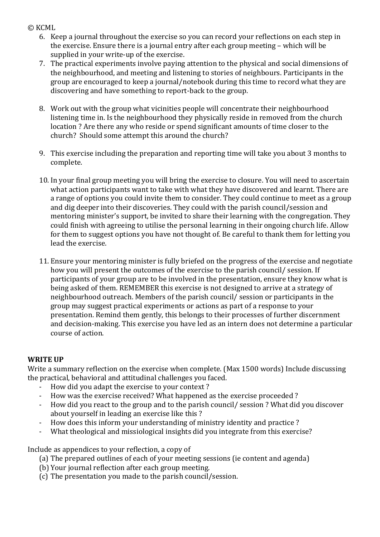- 6. Keep a journal throughout the exercise so you can record your reflections on each step in the exercise. Ensure there is a journal entry after each group meeting  $-$  which will be supplied in your write-up of the exercise.
- 7. The practical experiments involve paying attention to the physical and social dimensions of the neighbourhood, and meeting and listening to stories of neighbours. Participants in the group are encouraged to keep a journal/notebook during this time to record what they are discovering and have something to report-back to the group.
- 8. Work out with the group what vicinities people will concentrate their neighbourhood listening time in. Is the neighbourhood they physically reside in removed from the church location ? Are there any who reside or spend significant amounts of time closer to the church? Should some attempt this around the church?
- 9. This exercise including the preparation and reporting time will take you about 3 months to complete.
- 10. In your final group meeting you will bring the exercise to closure. You will need to ascertain what action participants want to take with what they have discovered and learnt. There are a range of options you could invite them to consider. They could continue to meet as a group and dig deeper into their discoveries. They could with the parish council/session and mentoring minister's support, be invited to share their learning with the congregation. They could finish with agreeing to utilise the personal learning in their ongoing church life. Allow for them to suggest options you have not thought of. Be careful to thank them for letting you lead the exercise.
- 11. Ensure your mentoring minister is fully briefed on the progress of the exercise and negotiate how you will present the outcomes of the exercise to the parish council/ session. If participants of your group are to be involved in the presentation, ensure they know what is being asked of them. REMEMBER this exercise is not designed to arrive at a strategy of neighbourhood outreach. Members of the parish council/ session or participants in the group may suggest practical experiments or actions as part of a response to vour presentation. Remind them gently, this belongs to their processes of further discernment and decision-making. This exercise you have led as an intern does not determine a particular course of action.

### **WRITE UP**

Write a summary reflection on the exercise when complete. (Max 1500 words) Include discussing the practical, behavioral and attitudinal challenges you faced.

- How did you adapt the exercise to your context?
- How was the exercise received? What happened as the exercise proceeded ?
- How did you react to the group and to the parish council/ session ? What did you discover about yourself in leading an exercise like this?
- How does this inform your understanding of ministry identity and practice?
- What theological and missiological insights did you integrate from this exercise?

Include as appendices to your reflection, a copy of

- (a) The prepared outlines of each of your meeting sessions (ie content and agenda)
- (b) Your journal reflection after each group meeting.
- (c) The presentation you made to the parish council/session.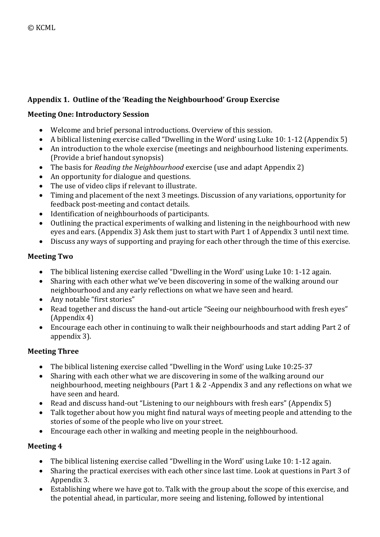# Appendix 1. Outline of the 'Reading the Neighbourhood' Group Exercise

## **Meeting One: Introductory Session**

- Welcome and brief personal introductions. Overview of this session.
- A biblical listening exercise called "Dwelling in the Word' using Luke 10: 1-12 (Appendix 5)
- An introduction to the whole exercise (meetings and neighbourhood listening experiments. (Provide a brief handout synopsis)
- The basis for *Reading the Neighbourhood* exercise (use and adapt Appendix 2)
- An opportunity for dialogue and questions.
- The use of video clips if relevant to illustrate.
- Timing and placement of the next 3 meetings. Discussion of any variations, opportunity for feedback post-meeting and contact details.
- Identification of neighbourhoods of participants.
- Outlining the practical experiments of walking and listening in the neighbourhood with new eyes and ears. (Appendix 3) Ask them just to start with Part 1 of Appendix 3 until next time.
- Discuss any ways of supporting and praying for each other through the time of this exercise.

# **Meeting Two**

- The biblical listening exercise called "Dwelling in the Word' using Luke 10: 1-12 again.
- Sharing with each other what we've been discovering in some of the walking around our neighbourhood and any early reflections on what we have seen and heard.
- Any notable "first stories"
- Read together and discuss the hand-out article "Seeing our neighbourhood with fresh eyes" (Appendix 4)
- Encourage each other in continuing to walk their neighbourhoods and start adding Part 2 of appendix 3).

# **Meeting Three**

- The biblical listening exercise called "Dwelling in the Word' using Luke 10:25-37
- Sharing with each other what we are discovering in some of the walking around our neighbourhood, meeting neighbours (Part  $1 \& 2$  -Appendix 3 and any reflections on what we have seen and heard.
- Read and discuss hand-out "Listening to our neighbours with fresh ears" (Appendix 5)
- Talk together about how you might find natural ways of meeting people and attending to the stories of some of the people who live on your street.
- Encourage each other in walking and meeting people in the neighbourhood.

# **Meeting 4**

- The biblical listening exercise called "Dwelling in the Word' using Luke 10: 1-12 again.
- Sharing the practical exercises with each other since last time. Look at questions in Part 3 of Appendix 3.
- Establishing where we have got to. Talk with the group about the scope of this exercise, and the potential ahead, in particular, more seeing and listening, followed by intentional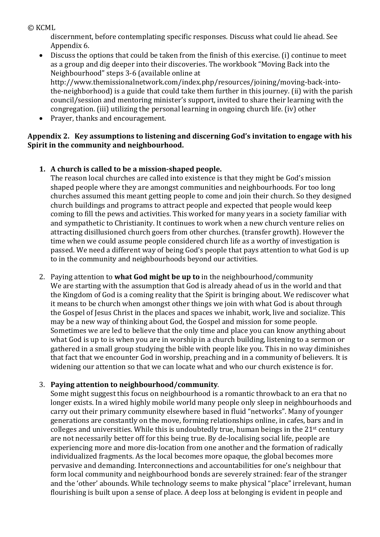discernment, before contemplating specific responses. Discuss what could lie ahead. See Appendix 6.

- Discuss the options that could be taken from the finish of this exercise. (i) continue to meet as a group and dig deeper into their discoveries. The workbook "Moving Back into the Neighbourhood" steps 3-6 (available online at http://www.themissionalnetwork.com/index.php/resources/joining/moving-back-intothe-neighborhood) is a guide that could take them further in this journey. (ii) with the parish council/session and mentoring minister's support, invited to share their learning with the congregation. (iii) utilizing the personal learning in ongoing church life. (iv) other
- Prayer, thanks and encouragement.

## Appendix 2. Key assumptions to listening and discerning God's invitation to engage with his Spirit in the community and neighbourhood.

## **1.** A church is called to be a mission-shaped people.

The reason local churches are called into existence is that they might be God's mission shaped people where they are amongst communities and neighbourhoods. For too long churches assumed this meant getting people to come and join their church. So they designed church buildings and programs to attract people and expected that people would keep coming to fill the pews and activities. This worked for many years in a society familiar with and sympathetic to Christianity. It continues to work when a new church venture relies on attracting disillusioned church goers from other churches. (transfer growth). However the time when we could assume people considered church life as a worthy of investigation is passed. We need a different way of being God's people that pays attention to what God is up to in the community and neighbourhoods beyond our activities.

2. Paving attention to **what God might be up to** in the neighbourhood/community We are starting with the assumption that God is already ahead of us in the world and that the Kingdom of God is a coming reality that the Spirit is bringing about. We rediscover what it means to be church when amongst other things we join with what God is about through the Gospel of Jesus Christ in the places and spaces we inhabit, work, live and socialize. This may be a new way of thinking about God, the Gospel and mission for some people. Sometimes we are led to believe that the only time and place you can know anything about what God is up to is when you are in worship in a church building, listening to a sermon or gathered in a small group studying the bible with people like you. This in no way diminishes that fact that we encounter God in worship, preaching and in a community of believers. It is widening our attention so that we can locate what and who our church existence is for.

# 3. Paying attention to neighbourhood/community.

Some might suggest this focus on neighbourhood is a romantic throwback to an era that no longer exists. In a wired highly mobile world many people only sleep in neighbourhoods and carry out their primary community elsewhere based in fluid "networks". Many of younger generations are constantly on the move, forming relationships online, in cafes, bars and in colleges and universities. While this is undoubtedly true, human beings in the  $21<sup>st</sup>$  century are not necessarily better off for this being true. By de-localising social life, people are experiencing more and more dis-location from one another and the formation of radically individualized fragments. As the local becomes more opaque, the global becomes more pervasive and demanding. Interconnections and accountabilities for one's neighbour that form local community and neighbourhood bonds are severely strained: fear of the stranger and the 'other' abounds. While technology seems to make physical "place" irrelevant, human flourishing is built upon a sense of place. A deep loss at belonging is evident in people and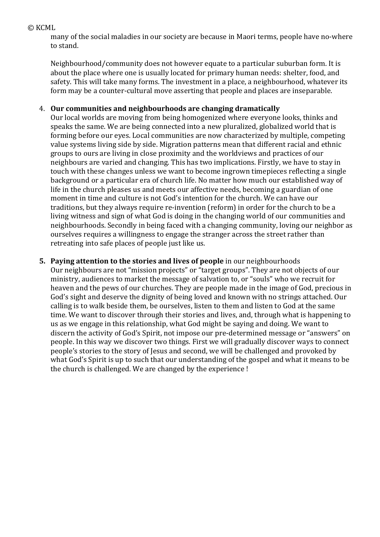many of the social maladies in our society are because in Maori terms, people have no-where to stand.

Neighbourhood/community does not however equate to a particular suburban form. It is about the place where one is usually located for primary human needs: shelter, food, and safety. This will take many forms. The investment in a place, a neighbourhood, whatever its form may be a counter-cultural move asserting that people and places are inseparable.

### 4. **Our communities and neighbourhoods are changing dramatically**

Our local worlds are moving from being homogenized where everyone looks, thinks and speaks the same. We are being connected into a new pluralized, globalized world that is forming before our eyes. Local communities are now characterized by multiple, competing value systems living side by side. Migration patterns mean that different racial and ethnic groups to ours are living in close proximity and the worldviews and practices of our neighbours are varied and changing. This has two implications. Firstly, we have to stay in touch with these changes unless we want to become ingrown timepieces reflecting a single background or a particular era of church life. No matter how much our established way of life in the church pleases us and meets our affective needs, becoming a guardian of one moment in time and culture is not God's intention for the church. We can have our traditions, but they always require re-invention (reform) in order for the church to be a living witness and sign of what God is doing in the changing world of our communities and neighbourhoods. Secondly in being faced with a changing community, loving our neighbor as ourselves requires a willingness to engage the stranger across the street rather than retreating into safe places of people just like us.

### **5. Paying attention to the stories and lives of people** in our neighbourhoods

Our neighbours are not "mission projects" or "target groups". They are not objects of our ministry, audiences to market the message of salvation to, or "souls" who we recruit for heaven and the pews of our churches. They are people made in the image of God, precious in God's sight and deserve the dignity of being loved and known with no strings attached. Our calling is to walk beside them, be ourselves, listen to them and listen to God at the same time. We want to discover through their stories and lives, and, through what is happening to us as we engage in this relationship, what God might be saying and doing. We want to discern the activity of God's Spirit, not impose our pre-determined message or "answers" on people. In this way we discover two things. First we will gradually discover ways to connect people's stories to the story of Jesus and second, we will be challenged and provoked by what God's Spirit is up to such that our understanding of the gospel and what it means to be the church is challenged. We are changed by the experience!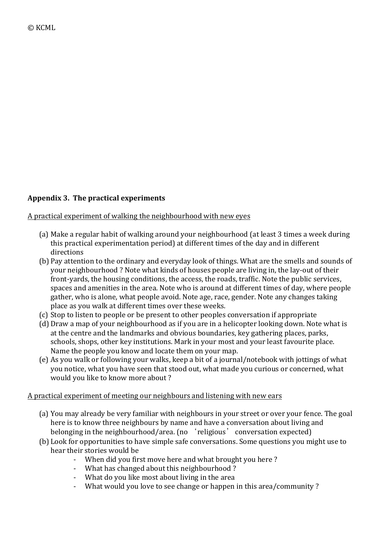# Appendix 3. The practical experiments

## A practical experiment of walking the neighbourhood with new eyes

- (a) Make a regular habit of walking around your neighbourhood (at least 3 times a week during this practical experimentation period) at different times of the day and in different directions
- (b) Pay attention to the ordinary and everyday look of things. What are the smells and sounds of your neighbourhood? Note what kinds of houses people are living in, the lay-out of their front-yards, the housing conditions, the access, the roads, traffic. Note the public services, spaces and amenities in the area. Note who is around at different times of day, where people gather, who is alone, what people avoid. Note age, race, gender, Note any changes taking place as you walk at different times over these weeks.
- (c) Stop to listen to people or be present to other peoples conversation if appropriate
- (d) Draw a map of your neighbourhood as if you are in a helicopter looking down. Note what is at the centre and the landmarks and obvious boundaries, key gathering places, parks, schools, shops, other key institutions. Mark in your most and your least favourite place. Name the people you know and locate them on your map.
- (e) As you walk or following your walks, keep a bit of a journal/notebook with jottings of what you notice, what you have seen that stood out, what made you curious or concerned, what would you like to know more about ?

### A practical experiment of meeting our neighbours and listening with new ears

- (a) You may already be very familiar with neighbours in your street or over your fence. The goal here is to know three neighbours by name and have a conversation about living and belonging in the neighbourhood/area. (no 'religious' conversation expected)
- (b) Look for opportunities to have simple safe conversations. Some questions you might use to hear their stories would be
	- When did you first move here and what brought you here?
	- What has changed about this neighbourhood?
	- What do you like most about living in the area
	- What would you love to see change or happen in this area/community?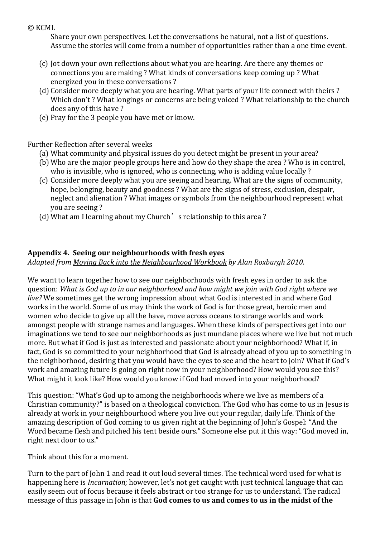Share your own perspectives. Let the conversations be natural, not a list of questions. Assume the stories will come from a number of opportunities rather than a one time event.

- (c) Jot down your own reflections about what you are hearing. Are there any themes or connections you are making? What kinds of conversations keep coming up? What energized you in these conversations?
- (d) Consider more deeply what you are hearing. What parts of your life connect with theirs ? Which don't? What longings or concerns are being voiced? What relationship to the church does any of this have?
- (e) Pray for the 3 people you have met or know.

## Further Reflection after several weeks

- (a) What community and physical issues do you detect might be present in your area?
- (b) Who are the major people groups here and how do they shape the area ? Who is in control, who is invisible, who is ignored, who is connecting, who is adding value locally?
- (c) Consider more deeply what you are seeing and hearing. What are the signs of community, hope, belonging, beauty and goodness ? What are the signs of stress, exclusion, despair, neglect and alienation ? What images or symbols from the neighbourhood represent what you are seeing?
- (d) What am I learning about my Church  $\dot{\ }$  s relationship to this area ?

# Appendix 4. Seeing our neighbourhoods with fresh eyes

*Adapted from Moving Back into the Neighbourhood Workbook by Alan Roxburgh 2010.*

We want to learn together how to see our neighborhoods with fresh eyes in order to ask the question: What is God up to in our neighborhood and how might we join with God right where we *live?* We sometimes get the wrong impression about what God is interested in and where God works in the world. Some of us may think the work of God is for those great, heroic men and women who decide to give up all the have, move across oceans to strange worlds and work amongst people with strange names and languages. When these kinds of perspectives get into our imaginations we tend to see our neighborhoods as just mundane places where we live but not much more. But what if God is just as interested and passionate about your neighborhood? What if, in fact, God is so committed to your neighborhood that God is already ahead of you up to something in the neighborhood, desiring that you would have the eyes to see and the heart to join? What if God's work and amazing future is going on right now in your neighborhood? How would you see this? What might it look like? How would you know if God had moved into your neighborhood?

This question: "What's God up to among the neighborhoods where we live as members of a Christian community?" is based on a theological conviction. The God who has come to us in Jesus is already at work in your neighbourhood where you live out your regular, daily life. Think of the amazing description of God coming to us given right at the beginning of John's Gospel: "And the Word became flesh and pitched his tent beside ours." Someone else put it this way: "God moved in, right next door to us."

Think about this for a moment.

Turn to the part of John 1 and read it out loud several times. The technical word used for what is happening here is *Incarnation;* however, let's not get caught with just technical language that can easily seem out of focus because it feels abstract or too strange for us to understand. The radical message of this passage in John is that **God comes to us and comes to us in the midst of the**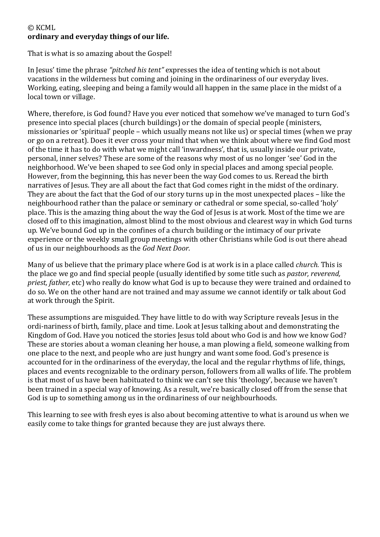## © KCML ordinary and everyday things of our life.

That is what is so amazing about the Gospel!

In Jesus' time the phrase "*pitched his tent*" expresses the idea of tenting which is not about vacations in the wilderness but coming and joining in the ordinariness of our everyday lives. Working, eating, sleeping and being a family would all happen in the same place in the midst of a local town or village.

Where, therefore, is God found? Have you ever noticed that somehow we've managed to turn God's presence into special places (church buildings) or the domain of special people (ministers, missionaries or 'spiritual' people – which usually means not like us) or special times (when we pray or go on a retreat). Does it ever cross your mind that when we think about where we find God most of the time it has to do with what we might call 'inwardness', that is, usually inside our private, personal, inner selves? These are some of the reasons why most of us no longer 'see' God in the neighborhood. We've been shaped to see God only in special places and among special people. However, from the beginning, this has never been the way God comes to us. Reread the birth narratives of Jesus. They are all about the fact that God comes right in the midst of the ordinary. They are about the fact that the God of our story turns up in the most unexpected places - like the neighbourhood rather than the palace or seminary or cathedral or some special, so-called 'holy' place. This is the amazing thing about the way the God of Jesus is at work. Most of the time we are closed off to this imagination, almost blind to the most obvious and clearest way in which God turns up. We've bound God up in the confines of a church building or the intimacy of our private experience or the weekly small group meetings with other Christians while God is out there ahead of us in our neighbourhoods as the *God Next Door.* 

Many of us believe that the primary place where God is at work is in a place called *church*. This is the place we go and find special people (usually identified by some title such as *pastor, reverend, priest, father,* etc) who really do know what God is up to because they were trained and ordained to do so. We on the other hand are not trained and may assume we cannot identify or talk about God at work through the Spirit.

These assumptions are misguided. They have little to do with way Scripture reveals Jesus in the ordi-nariness of birth, family, place and time. Look at Jesus talking about and demonstrating the Kingdom of God. Have you noticed the stories Jesus told about who God is and how we know God? These are stories about a woman cleaning her house, a man plowing a field, someone walking from one place to the next, and people who are just hungry and want some food. God's presence is accounted for in the ordinariness of the everyday, the local and the regular rhythms of life, things, places and events recognizable to the ordinary person, followers from all walks of life. The problem is that most of us have been habituated to think we can't see this 'theology', because we haven't been trained in a special way of knowing. As a result, we're basically closed off from the sense that God is up to something among us in the ordinariness of our neighbourhoods.

This learning to see with fresh eyes is also about becoming attentive to what is around us when we easily come to take things for granted because they are just always there.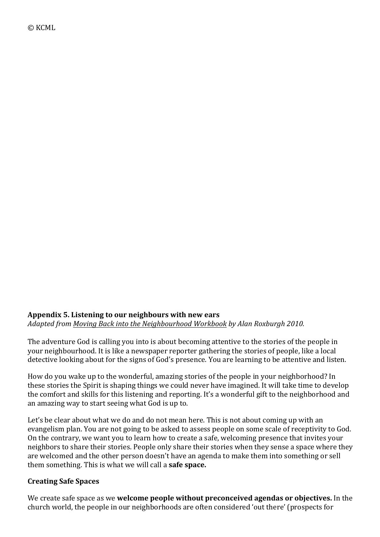# Appendix 5. Listening to our neighbours with new ears *Adapted from Moving Back into the Neighbourhood Workbook by Alan Roxburgh 2010.*

The adventure God is calling you into is about becoming attentive to the stories of the people in your neighbourhood. It is like a newspaper reporter gathering the stories of people, like a local detective looking about for the signs of God's presence. You are learning to be attentive and listen.

How do you wake up to the wonderful, amazing stories of the people in your neighborhood? In these stories the Spirit is shaping things we could never have imagined. It will take time to develop the comfort and skills for this listening and reporting. It's a wonderful gift to the neighborhood and an amazing way to start seeing what God is up to.

Let's be clear about what we do and do not mean here. This is not about coming up with an evangelism plan. You are not going to be asked to assess people on some scale of receptivity to God. On the contrary, we want you to learn how to create a safe, welcoming presence that invites your neighbors to share their stories. People only share their stories when they sense a space where they are welcomed and the other person doesn't have an agenda to make them into something or sell them something. This is what we will call a **safe space.** 

### **Creating Safe Spaces**

We create safe space as we **welcome people without preconceived agendas or objectives.** In the church world, the people in our neighborhoods are often considered 'out there' (prospects for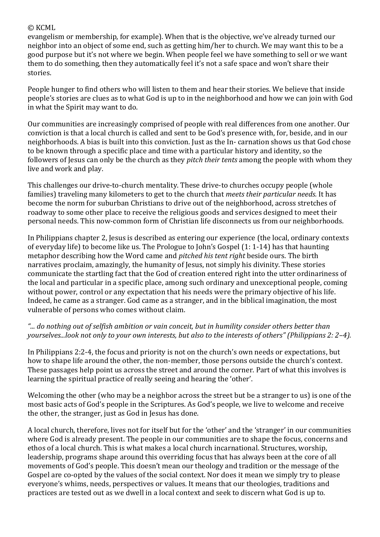evangelism or membership, for example). When that is the objective, we've already turned our neighbor into an object of some end, such as getting him/her to church. We may want this to be a good purpose but it's not where we begin. When people feel we have something to sell or we want them to do something, then they automatically feel it's not a safe space and won't share their stories.

People hunger to find others who will listen to them and hear their stories. We believe that inside people's stories are clues as to what God is up to in the neighborhood and how we can join with God in what the Spirit may want to do.

Our communities are increasingly comprised of people with real differences from one another. Our conviction is that a local church is called and sent to be God's presence with, for, beside, and in our neighborhoods. A bias is built into this conviction. Just as the In- carnation shows us that God chose to be known through a specific place and time with a particular history and identity, so the followers of Jesus can only be the church as they *pitch their tents* among the people with whom they live and work and play.

This challenges our drive-to-church mentality. These drive-to churches occupy people (whole families) traveling many kilometers to get to the church that *meets their particular needs.* It has become the norm for suburban Christians to drive out of the neighborhood, across stretches of roadway to some other place to receive the religious goods and services designed to meet their personal needs. This now-common form of Christian life disconnects us from our neighborhoods.

In Philippians chapter 2, Jesus is described as entering our experience (the local, ordinary contexts of everyday life) to become like us. The Prologue to John's Gospel  $(1: 1-14)$  has that haunting metaphor describing how the Word came and *pitched his tent right* beside ours. The birth narratives proclaim, amazingly, the humanity of Jesus, not simply his divinity. These stories communicate the startling fact that the God of creation entered right into the utter ordinariness of the local and particular in a specific place, among such ordinary and unexceptional people, coming without power, control or any expectation that his needs were the primary objective of his life. Indeed, he came as a stranger. God came as a stranger, and in the biblical imagination, the most vulnerable of persons who comes without claim.

## "... do nothing out of selfish ambition or vain conceit, but in humility consider others better than *yourselves...look not only to your own interests, but also to the interests of others" (Philippians 2: 2–4).*

In Philippians 2:2-4, the focus and priority is not on the church's own needs or expectations, but how to shape life around the other, the non-member, those persons outside the church's context. These passages help point us across the street and around the corner. Part of what this involves is learning the spiritual practice of really seeing and hearing the 'other'.

Welcoming the other (who may be a neighbor across the street but be a stranger to us) is one of the most basic acts of God's people in the Scriptures. As God's people, we live to welcome and receive the other, the stranger, just as God in Jesus has done.

A local church, therefore, lives not for itself but for the 'other' and the 'stranger' in our communities where God is already present. The people in our communities are to shape the focus, concerns and ethos of a local church. This is what makes a local church incarnational. Structures, worship, leadership, programs shape around this overriding focus that has always been at the core of all movements of God's people. This doesn't mean our theology and tradition or the message of the Gospel are co-opted by the values of the social context. Nor does it mean we simply try to please everyone's whims, needs, perspectives or values. It means that our theologies, traditions and practices are tested out as we dwell in a local context and seek to discern what God is up to.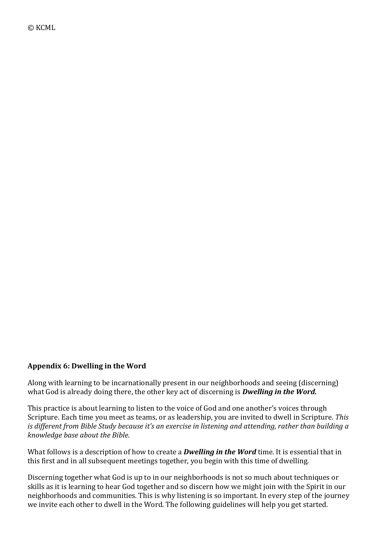#### Appendix 6: Dwelling in the Word

Along with learning to be incarnationally present in our neighborhoods and seeing (discerning) what God is already doing there, the other key act of discerning is **Dwelling in the Word.** 

This practice is about learning to listen to the voice of God and one another's voices through Scripture. Each time you meet as teams, or as leadership, you are invited to dwell in Scripture. This *is* different from Bible Study because it's an exercise in listening and attending, rather than building a *knowledge base about the Bible.* 

What follows is a description of how to create a *Dwelling in the Word* time. It is essential that in this first and in all subsequent meetings together, you begin with this time of dwelling.

Discerning together what God is up to in our neighborhoods is not so much about techniques or skills as it is learning to hear God together and so discern how we might join with the Spirit in our neighborhoods and communities. This is why listening is so important. In every step of the journey we invite each other to dwell in the Word. The following guidelines will help you get started.